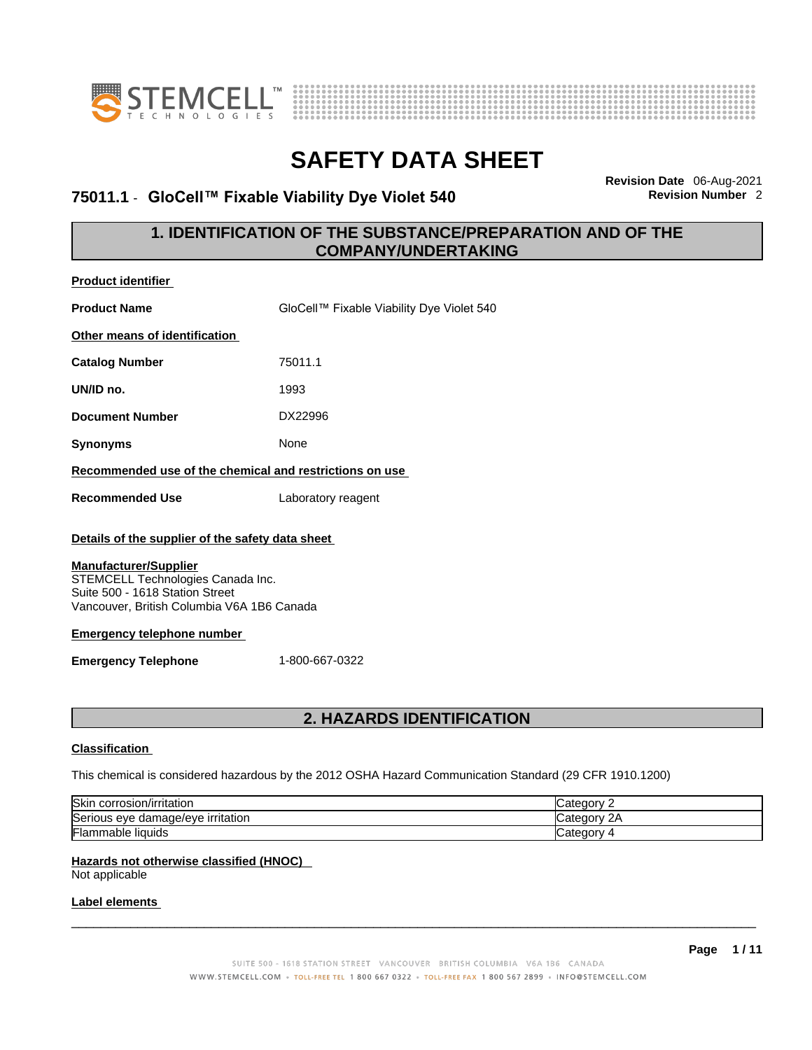



## **75011.1** - **GloCell™ Fixable Viability Dye Violet 540 Revision Number** 2

**Revision Date** 06-Aug-2021

## **1. IDENTIFICATION OF THE SUBSTANCE/PREPARATION AND OF THE COMPANY/UNDERTAKING**

| <b>Product identifier</b>                                                                                                                          |                                           |  |  |
|----------------------------------------------------------------------------------------------------------------------------------------------------|-------------------------------------------|--|--|
| <b>Product Name</b>                                                                                                                                | GloCell™ Fixable Viability Dye Violet 540 |  |  |
| Other means of identification                                                                                                                      |                                           |  |  |
| <b>Catalog Number</b>                                                                                                                              | 75011.1                                   |  |  |
| UN/ID no.                                                                                                                                          | 1993                                      |  |  |
| <b>Document Number</b>                                                                                                                             | DX22996                                   |  |  |
| <b>Synonyms</b>                                                                                                                                    | None                                      |  |  |
| Recommended use of the chemical and restrictions on use                                                                                            |                                           |  |  |
| <b>Recommended Use</b>                                                                                                                             | Laboratory reagent                        |  |  |
| Details of the supplier of the safety data sheet                                                                                                   |                                           |  |  |
| <b>Manufacturer/Supplier</b><br>STEMCELL Technologies Canada Inc.<br>Suite 500 - 1618 Station Street<br>Vancouver, British Columbia V6A 1B6 Canada |                                           |  |  |
| <b>Emergency telephone number</b>                                                                                                                  |                                           |  |  |
| <b>Emergency Telephone</b>                                                                                                                         | 1-800-667-0322                            |  |  |
|                                                                                                                                                    |                                           |  |  |
| <b>2. HAZARDS IDENTIFICATION</b>                                                                                                                   |                                           |  |  |

### **Classification**

This chemical is considered hazardous by the 2012 OSHA Hazard Communication Standard (29 CFR 1910.1200)

| Skir<br>corrosion/irritation           | tegory.                |
|----------------------------------------|------------------------|
| Serious eye<br>e damage/eve irritation | $\sim$<br>∵ category ب |
| <b>Flammable liquids</b>               | √Jutegory ⊿            |

### **Hazards not otherwise classified (HNOC)**

Not applicable

### **Label elements**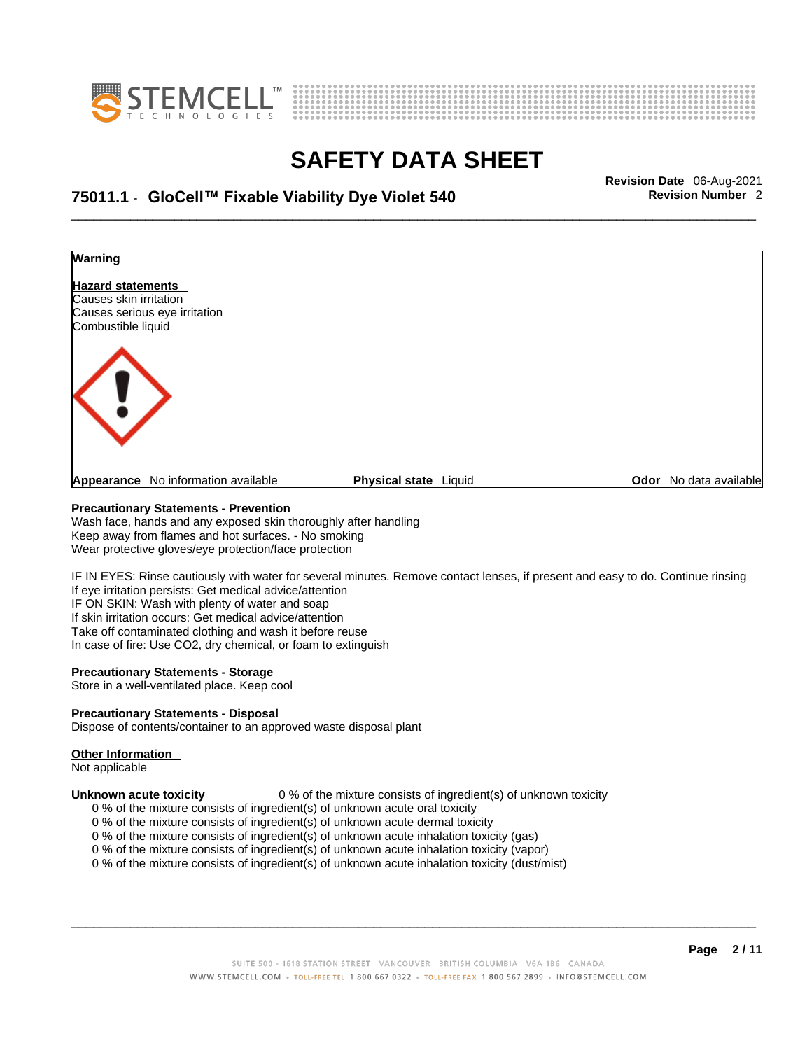



# \_\_\_\_\_\_\_\_\_\_\_\_\_\_\_\_\_\_\_\_\_\_\_\_\_\_\_\_\_\_\_\_\_\_\_\_\_\_\_\_\_\_\_\_\_\_\_\_\_\_\_\_\_\_\_\_\_\_\_\_\_\_\_\_\_\_\_\_\_\_\_\_\_\_\_\_\_\_\_\_\_\_\_\_\_\_\_\_\_\_\_\_\_ **Revision Date** 06-Aug-2021 **75011.1** - **GloCell™ Fixable Viability Dye Violet 540 Revision Number** 2



### **Precautionary Statements - Prevention**

Wash face, hands and any exposed skin thoroughly after handling Keep away from flames and hot surfaces. - No smoking Wear protective gloves/eye protection/face protection

IF IN EYES: Rinse cautiously with water for several minutes. Remove contact lenses, if present and easy to do. Continue rinsing If eye irritation persists: Get medical advice/attention IF ON SKIN: Wash with plenty of water and soap If skin irritation occurs: Get medical advice/attention Take off contaminated clothing and wash it before reuse In case of fire: Use CO2, dry chemical, or foam to extinguish

### **Precautionary Statements - Storage**

Store in a well-ventilated place. Keep cool

### **Precautionary Statements - Disposal**

Dispose of contents/container to an approved waste disposal plant

### **Other Information**

Not applicable

**Unknown acute toxicity** 0 % of the mixture consists of ingredient(s) of unknown toxicity

- 0 % of the mixture consists of ingredient(s) of unknown acute oral toxicity
- 0 % of the mixture consists of ingredient(s) of unknown acute dermal toxicity
- 0 % of the mixture consists of ingredient(s) of unknown acute inhalation toxicity (gas)
- 0 % of the mixture consists of ingredient(s) of unknown acute inhalation toxicity (vapor)
- 0 % of the mixture consists of ingredient(s) of unknown acute inhalation toxicity (dust/mist)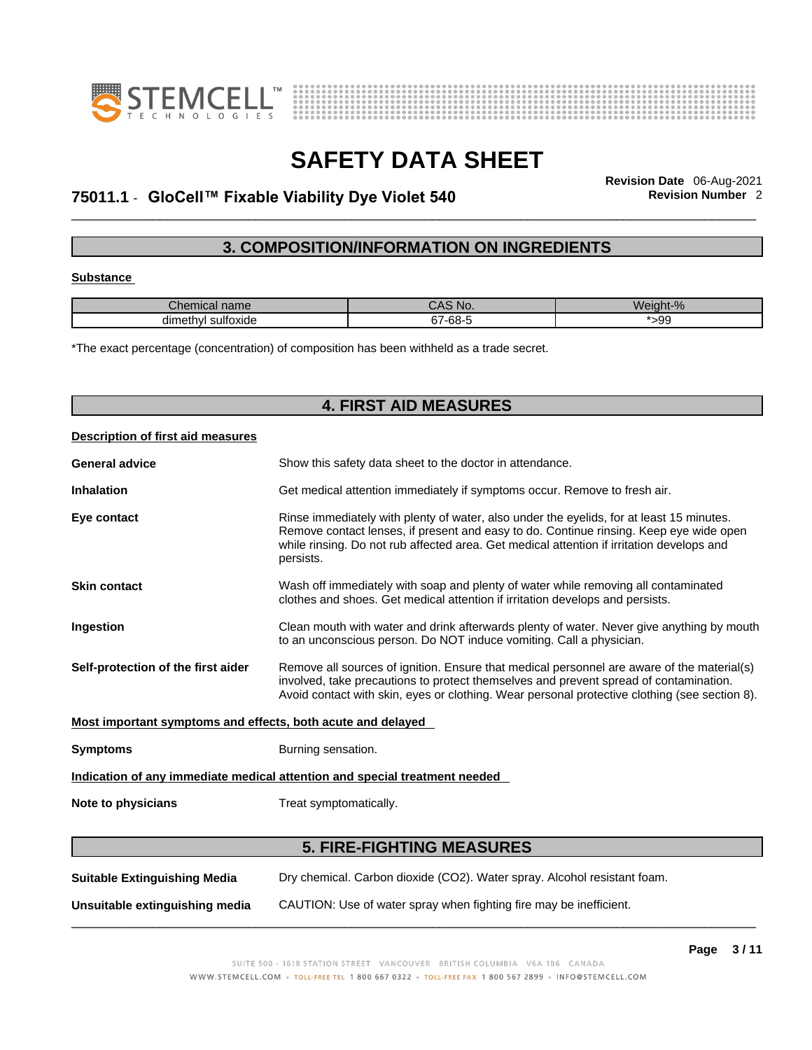



# \_\_\_\_\_\_\_\_\_\_\_\_\_\_\_\_\_\_\_\_\_\_\_\_\_\_\_\_\_\_\_\_\_\_\_\_\_\_\_\_\_\_\_\_\_\_\_\_\_\_\_\_\_\_\_\_\_\_\_\_\_\_\_\_\_\_\_\_\_\_\_\_\_\_\_\_\_\_\_\_\_\_\_\_\_\_\_\_\_\_\_\_\_ **Revision Date** 06-Aug-2021 **75011.1** - **GloCell™ Fixable Viability Dye Violet 540 Revision Number** 2

## **3. COMPOSITION/INFORMATION ON INGREDIENTS**

### **Substance**

| $\sim$<br>Chemical name      | CAS N0. | Weight-%   |
|------------------------------|---------|------------|
| . .<br>dimethvl<br>sultoxide | 67-68-  | .ac<br>ت ت |

\*The exact percentage (concentration) of composition has been withheld as a trade secret.

| <b>4. FIRST AID MEASURES</b>                                |                                                                                                                                                                                                                                                                                              |  |
|-------------------------------------------------------------|----------------------------------------------------------------------------------------------------------------------------------------------------------------------------------------------------------------------------------------------------------------------------------------------|--|
| Description of first aid measures                           |                                                                                                                                                                                                                                                                                              |  |
| <b>General advice</b>                                       | Show this safety data sheet to the doctor in attendance.                                                                                                                                                                                                                                     |  |
| <b>Inhalation</b>                                           | Get medical attention immediately if symptoms occur. Remove to fresh air.                                                                                                                                                                                                                    |  |
| Eye contact                                                 | Rinse immediately with plenty of water, also under the eyelids, for at least 15 minutes.<br>Remove contact lenses, if present and easy to do. Continue rinsing. Keep eye wide open<br>while rinsing. Do not rub affected area. Get medical attention if irritation develops and<br>persists. |  |
| <b>Skin contact</b>                                         | Wash off immediately with soap and plenty of water while removing all contaminated<br>clothes and shoes. Get medical attention if irritation develops and persists.                                                                                                                          |  |
| Ingestion                                                   | Clean mouth with water and drink afterwards plenty of water. Never give anything by mouth<br>to an unconscious person. Do NOT induce vomiting. Call a physician.                                                                                                                             |  |
| Self-protection of the first aider                          | Remove all sources of ignition. Ensure that medical personnel are aware of the material(s)<br>involved, take precautions to protect themselves and prevent spread of contamination.<br>Avoid contact with skin, eyes or clothing. Wear personal protective clothing (see section 8).         |  |
| Most important symptoms and effects, both acute and delayed |                                                                                                                                                                                                                                                                                              |  |
| <b>Symptoms</b>                                             | Burning sensation.                                                                                                                                                                                                                                                                           |  |
|                                                             | Indication of any immediate medical attention and special treatment needed                                                                                                                                                                                                                   |  |
| Note to physicians                                          | Treat symptomatically.                                                                                                                                                                                                                                                                       |  |
|                                                             | <b>5. FIRE-FIGHTING MEASURES</b>                                                                                                                                                                                                                                                             |  |
| <b>Suitable Extinguishing Media</b>                         | Dry chemical. Carbon dioxide (CO2). Water spray. Alcohol resistant foam.                                                                                                                                                                                                                     |  |

**Unsuitable extinguishing media** CAUTION: Use of water spray when fighting fire may be inefficient.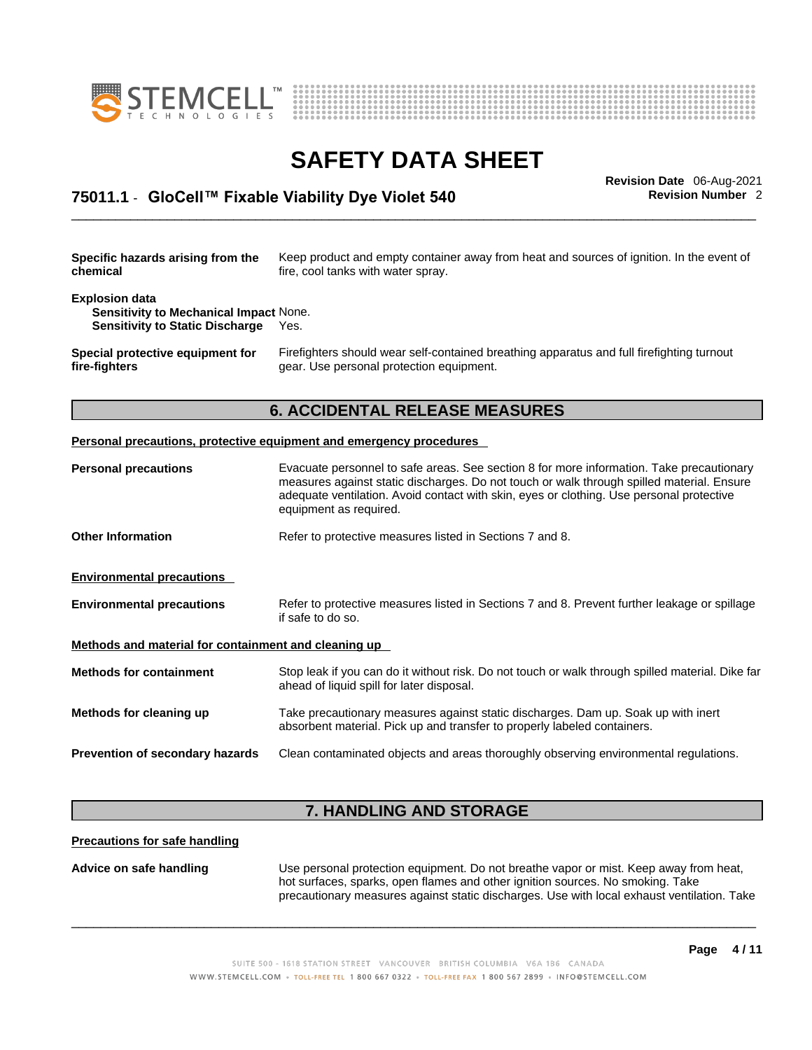



# \_\_\_\_\_\_\_\_\_\_\_\_\_\_\_\_\_\_\_\_\_\_\_\_\_\_\_\_\_\_\_\_\_\_\_\_\_\_\_\_\_\_\_\_\_\_\_\_\_\_\_\_\_\_\_\_\_\_\_\_\_\_\_\_\_\_\_\_\_\_\_\_\_\_\_\_\_\_\_\_\_\_\_\_\_\_\_\_\_\_\_\_\_ **Revision Date** 06-Aug-2021 **75011.1** - **GloCell™ Fixable Viability Dye Violet 540 Revision Number** 2

| Specific hazards arising from the                                                                                | Keep product and empty container away from heat and sources of ignition. In the event of  |
|------------------------------------------------------------------------------------------------------------------|-------------------------------------------------------------------------------------------|
| chemical                                                                                                         | fire, cool tanks with water spray.                                                        |
| <b>Explosion data</b><br><b>Sensitivity to Mechanical Impact None.</b><br><b>Sensitivity to Static Discharge</b> | Yes.                                                                                      |
| Special protective equipment for                                                                                 | Firefighters should wear self-contained breathing apparatus and full firefighting turnout |
| fire-fighters                                                                                                    | gear. Use personal protection equipment.                                                  |
|                                                                                                                  | <b>6. ACCIDENTAL RELEASE MEASURES</b>                                                     |

# **Personal precautions** Evacuate personnel to safe areas. See section 8 for more information. Take precautionary

|                                                      | measures against static discharges. Do not touch or walk through spilled material. Ensure<br>adequate ventilation. Avoid contact with skin, eyes or clothing. Use personal protective<br>equipment as required. |
|------------------------------------------------------|-----------------------------------------------------------------------------------------------------------------------------------------------------------------------------------------------------------------|
| <b>Other Information</b>                             | Refer to protective measures listed in Sections 7 and 8.                                                                                                                                                        |
| <b>Environmental precautions</b>                     |                                                                                                                                                                                                                 |
| <b>Environmental precautions</b>                     | Refer to protective measures listed in Sections 7 and 8. Prevent further leakage or spillage<br>if safe to do so.                                                                                               |
| Methods and material for containment and cleaning up |                                                                                                                                                                                                                 |
| <b>Methods for containment</b>                       | Stop leak if you can do it without risk. Do not touch or walk through spilled material. Dike far<br>ahead of liquid spill for later disposal.                                                                   |
| Methods for cleaning up                              | Take precautionary measures against static discharges. Dam up. Soak up with inert<br>absorbent material. Pick up and transfer to properly labeled containers.                                                   |
| <b>Prevention of secondary hazards</b>               | Clean contaminated objects and areas thoroughly observing environmental regulations.                                                                                                                            |
|                                                      |                                                                                                                                                                                                                 |

## **7. HANDLING AND STORAGE**

### **Precautions for safe handling**

**Advice on safe handling** Use personal protection equipment.Do not breathe vapor or mist. Keep away from heat, hot surfaces, sparks, open flames and other ignition sources. No smoking. Take precautionary measures against static discharges. Use with local exhaust ventilation. Take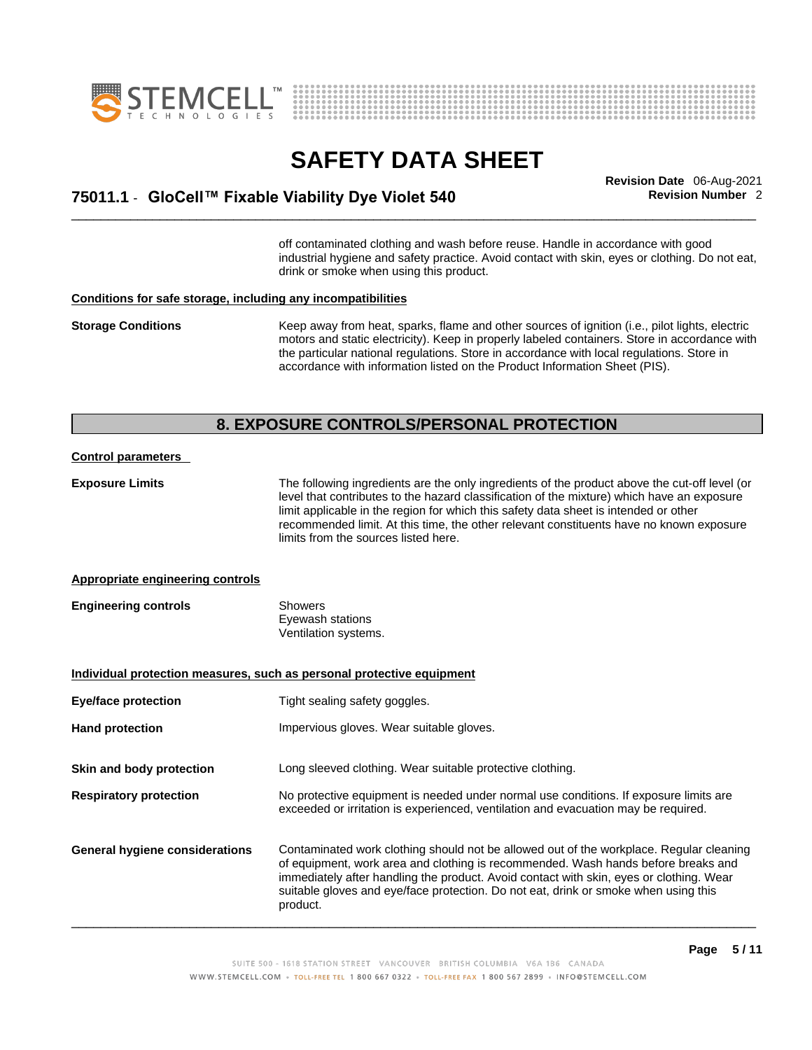



# \_\_\_\_\_\_\_\_\_\_\_\_\_\_\_\_\_\_\_\_\_\_\_\_\_\_\_\_\_\_\_\_\_\_\_\_\_\_\_\_\_\_\_\_\_\_\_\_\_\_\_\_\_\_\_\_\_\_\_\_\_\_\_\_\_\_\_\_\_\_\_\_\_\_\_\_\_\_\_\_\_\_\_\_\_\_\_\_\_\_\_\_\_ **Revision Date** 06-Aug-2021 **75011.1** - **GloCell™ Fixable Viability Dye Violet 540 Revision Number** 2

off contaminated clothing and wash before reuse. Handle in accordance with good industrial hygiene and safety practice. Avoid contact with skin, eyes or clothing. Do not eat, drink or smoke when using this product.

### **Conditions for safe storage, including any incompatibilities**

**Storage Conditions** Keep away from heat, sparks, flame and other sources of ignition (i.e., pilot lights, electric motors and static electricity). Keep in properly labeled containers. Store in accordance with the particular national regulations. Store in accordance with local regulations. Store in accordance with information listed on the Product Information Sheet (PIS).

### **8. EXPOSURE CONTROLS/PERSONAL PROTECTION**

### **Control parameters**

**Exposure Limits** The following ingredients are the only ingredients of the product above the cut-off level (or level that contributes to the hazard classification of the mixture) which have an exposure limit applicable in the region for which this safety data sheet is intended or other recommended limit. At this time, the other relevant constituents have no known exposure limits from the sources listed here.

### **Appropriate engineering controls**

| <b>Engineering controls</b> | Showers              |  |
|-----------------------------|----------------------|--|
|                             | Eyewash stations     |  |
|                             | Ventilation systems. |  |

**Individual protection measures, such as personal protective equipment Eye/face protection** Tight sealing safety goggles. Hand protection **Impervious gloves.** Wear suitable gloves. **Skin and body protection** Long sleeved clothing. Wear suitable protective clothing. **Respiratory protection** No protective equipment is needed under normal use conditions. If exposure limits are exceeded or irritation is experienced, ventilation and evacuation may be required. **General hygiene considerations** Contaminated work clothing should not be allowed outof the workplace. Regular cleaning of equipment, work area and clothing is recommended. Wash hands before breaks and immediately after handling the product. Avoid contact with skin, eyes or clothing. Wear suitable gloves and eye/face protection. Do not eat, drink or smoke when using this product.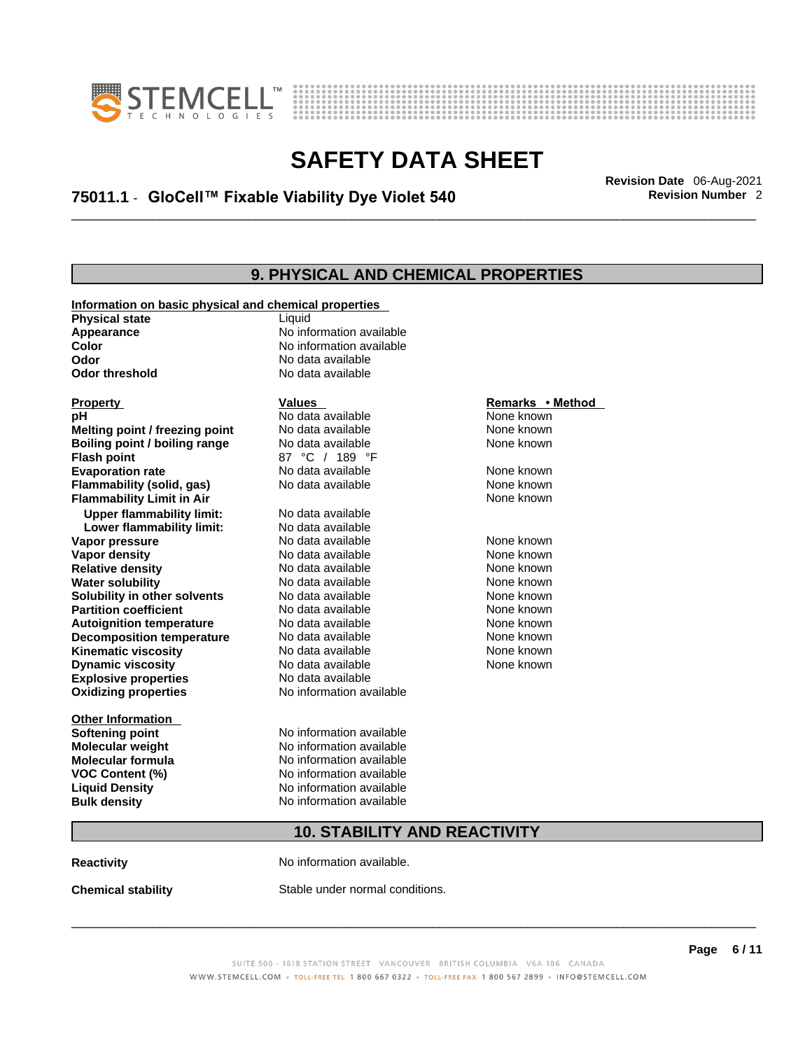



# \_\_\_\_\_\_\_\_\_\_\_\_\_\_\_\_\_\_\_\_\_\_\_\_\_\_\_\_\_\_\_\_\_\_\_\_\_\_\_\_\_\_\_\_\_\_\_\_\_\_\_\_\_\_\_\_\_\_\_\_\_\_\_\_\_\_\_\_\_\_\_\_\_\_\_\_\_\_\_\_\_\_\_\_\_\_\_\_\_\_\_\_\_ **Revision Date** 06-Aug-2021 **75011.1** - **GloCell™ Fixable Viability Dye Violet 540 Revision Number** 2

## **9. PHYSICAL AND CHEMICAL PROPERTIES**

| Information on basic physical and chemical properties |                                     |                  |  |
|-------------------------------------------------------|-------------------------------------|------------------|--|
| <b>Physical state</b>                                 | Liquid                              |                  |  |
| Appearance                                            | No information available            |                  |  |
| Color                                                 | No information available            |                  |  |
| Odor                                                  | No data available                   |                  |  |
| <b>Odor threshold</b>                                 | No data available                   |                  |  |
| <b>Property</b>                                       | <b>Values</b>                       | Remarks • Method |  |
| рH                                                    | No data available                   | None known       |  |
| Melting point / freezing point                        | No data available                   | None known       |  |
| Boiling point / boiling range                         | No data available                   | None known       |  |
| <b>Flash point</b>                                    | 87 °C / 189 °F                      |                  |  |
| <b>Evaporation rate</b>                               | No data available                   | None known       |  |
| Flammability (solid, gas)                             | No data available                   | None known       |  |
| <b>Flammability Limit in Air</b>                      |                                     | None known       |  |
| <b>Upper flammability limit:</b>                      | No data available                   |                  |  |
| Lower flammability limit:                             | No data available                   |                  |  |
| Vapor pressure                                        | No data available                   | None known       |  |
| Vapor density                                         | No data available                   | None known       |  |
| <b>Relative density</b>                               | No data available                   | None known       |  |
| <b>Water solubility</b>                               | No data available                   | None known       |  |
| Solubility in other solvents                          | No data available                   | None known       |  |
| <b>Partition coefficient</b>                          | No data available                   | None known       |  |
| <b>Autoignition temperature</b>                       | No data available                   | None known       |  |
| <b>Decomposition temperature</b>                      | No data available                   | None known       |  |
| <b>Kinematic viscosity</b>                            | No data available                   | None known       |  |
| <b>Dynamic viscosity</b>                              | No data available                   | None known       |  |
| <b>Explosive properties</b>                           | No data available                   |                  |  |
| <b>Oxidizing properties</b>                           | No information available            |                  |  |
| <b>Other Information</b>                              |                                     |                  |  |
| <b>Softening point</b>                                | No information available            |                  |  |
| <b>Molecular weight</b>                               | No information available            |                  |  |
| <b>Molecular formula</b>                              | No information available            |                  |  |
| VOC Content (%)                                       | No information available            |                  |  |
| <b>Liquid Density</b>                                 | No information available            |                  |  |
| <b>Bulk density</b>                                   | No information available            |                  |  |
|                                                       | <b>10. STABILITY AND REACTIVITY</b> |                  |  |
| <b>Reactivity</b>                                     | No information available.           |                  |  |

**Chemical stability** Stable under normal conditions.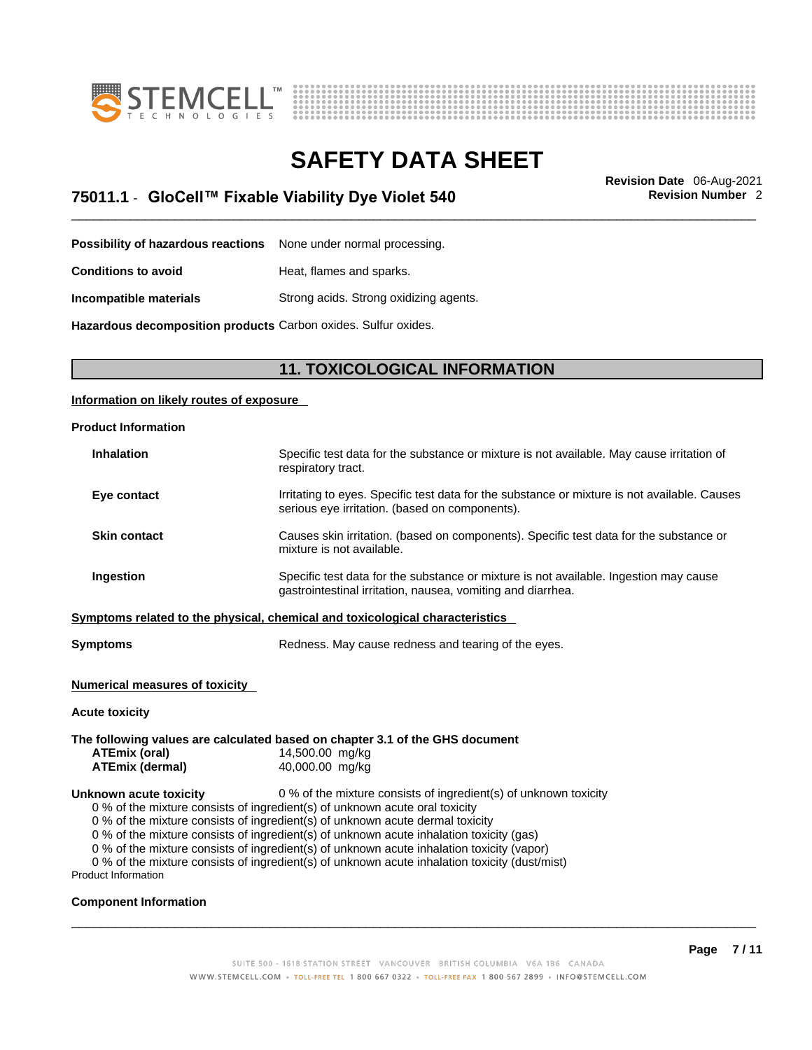



\_\_\_\_\_\_\_\_\_\_\_\_\_\_\_\_\_\_\_\_\_\_\_\_\_\_\_\_\_\_\_\_\_\_\_\_\_\_\_\_\_\_\_\_\_\_\_\_\_\_\_\_\_\_\_\_\_\_\_\_\_\_\_\_\_\_\_\_\_\_\_\_\_\_\_\_\_\_\_\_\_\_\_\_\_\_\_\_\_\_\_\_\_ **Revision Date** 06-Aug-2021 **75011.1** - **GloCell™ Fixable Viability Dye Violet 540 Revision Number** 2

**Possibility of hazardous reactions** None under normal processing.

**Conditions to avoid Heat, flames and sparks.** 

**Incompatible materials** Strong acids. Strong oxidizing agents.

**Hazardous decomposition products** Carbon oxides. Sulfur oxides.

### **11. TOXICOLOGICAL INFORMATION**

### **Information on likely routes of exposure**

| <b>Product Information</b> |                                                                                                                                                      |
|----------------------------|------------------------------------------------------------------------------------------------------------------------------------------------------|
| <b>Inhalation</b>          | Specific test data for the substance or mixture is not available. May cause irritation of<br>respiratory tract.                                      |
| Eye contact                | Irritating to eyes. Specific test data for the substance or mixture is not available. Causes<br>serious eye irritation. (based on components).       |
| <b>Skin contact</b>        | Causes skin irritation. (based on components). Specific test data for the substance or<br>mixture is not available.                                  |
| Ingestion                  | Specific test data for the substance or mixture is not available. Ingestion may cause<br>gastrointestinal irritation, nausea, vomiting and diarrhea. |
|                            | Symptoms related to the physical, chemical and toxicological characteristics                                                                         |
| <b>Symptoms</b>            | Redness. May cause redness and tearing of the eyes.                                                                                                  |

### **Numerical measures of toxicity**

### **Acute toxicity**

### **The following values are calculated based on chapter 3.1 of the GHS document ATEmix (oral)** 14,500.00 mg/kg **ATEmix (dermal)**40,000.00 mg/kg **Unknown acute toxicity** 0 % of the mixture consists of ingredient(s) of unknown toxicity 0 % of the mixture consists of ingredient(s) of unknown acute oral toxicity 0 % of the mixture consists of ingredient(s) of unknown acute dermal toxicity 0 % of the mixture consists of ingredient(s) of unknown acute inhalation toxicity (gas)

0 % of the mixture consists of ingredient(s) of unknown acute inhalation toxicity (vapor)

0 % of the mixture consists of ingredient(s) of unknown acute inhalation toxicity (dust/mist)

Product Information

### **Component Information**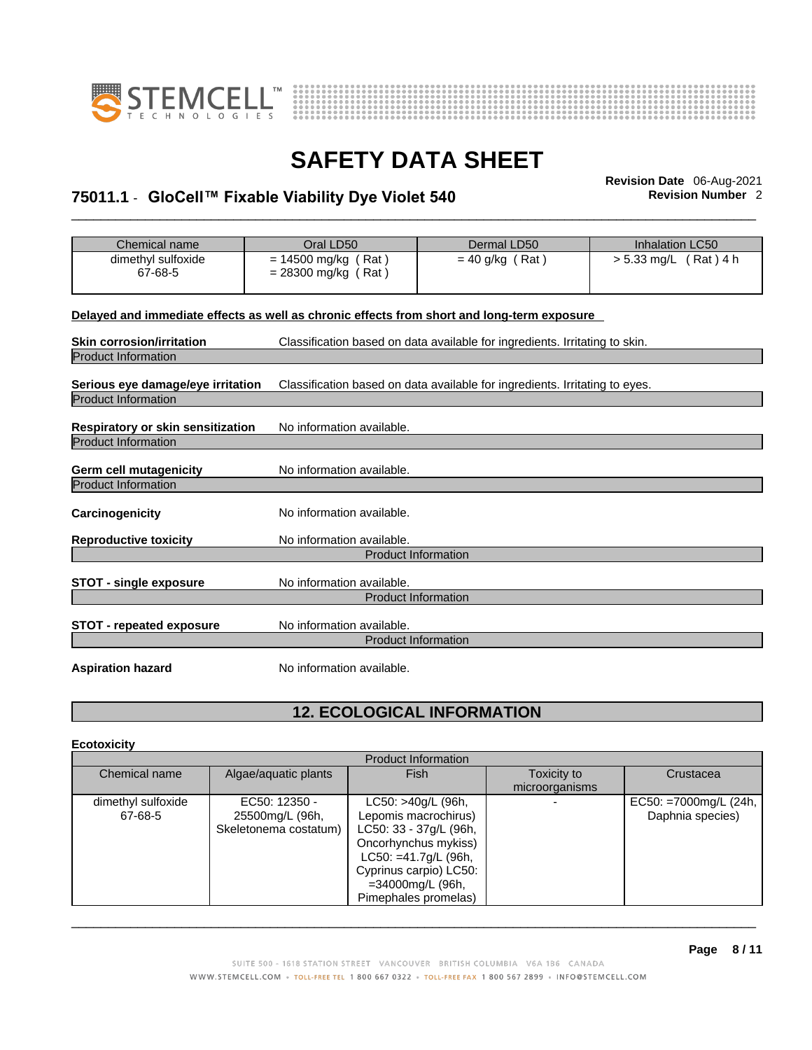



# \_\_\_\_\_\_\_\_\_\_\_\_\_\_\_\_\_\_\_\_\_\_\_\_\_\_\_\_\_\_\_\_\_\_\_\_\_\_\_\_\_\_\_\_\_\_\_\_\_\_\_\_\_\_\_\_\_\_\_\_\_\_\_\_\_\_\_\_\_\_\_\_\_\_\_\_\_\_\_\_\_\_\_\_\_\_\_\_\_\_\_\_\_ **Revision Date** 06-Aug-2021 **75011.1** - **GloCell™ Fixable Viability Dye Violet 540 Revision Number** 2

| Chemical name                                                                              | Oral LD50                 | Dermal LD50                                                                 | <b>Inhalation LC50</b> |  |  |
|--------------------------------------------------------------------------------------------|---------------------------|-----------------------------------------------------------------------------|------------------------|--|--|
| dimethyl sulfoxide                                                                         | $= 14500$ mg/kg (Rat)     | $= 40$ g/kg (Rat)                                                           | > 5.33 mg/L (Rat) 4 h  |  |  |
| 67-68-5                                                                                    | $= 28300$ mg/kg (Rat)     |                                                                             |                        |  |  |
|                                                                                            |                           |                                                                             |                        |  |  |
|                                                                                            |                           |                                                                             |                        |  |  |
| Delayed and immediate effects as well as chronic effects from short and long-term exposure |                           |                                                                             |                        |  |  |
| <b>Skin corrosion/irritation</b>                                                           |                           | Classification based on data available for ingredients. Irritating to skin. |                        |  |  |
| <b>Product Information</b>                                                                 |                           |                                                                             |                        |  |  |
|                                                                                            |                           |                                                                             |                        |  |  |
| Serious eye damage/eye irritation                                                          |                           | Classification based on data available for ingredients. Irritating to eyes. |                        |  |  |
| <b>Product Information</b>                                                                 |                           |                                                                             |                        |  |  |
|                                                                                            |                           |                                                                             |                        |  |  |
| Respiratory or skin sensitization                                                          | No information available. |                                                                             |                        |  |  |
| <b>Product Information</b>                                                                 |                           |                                                                             |                        |  |  |
|                                                                                            |                           |                                                                             |                        |  |  |
| <b>Germ cell mutagenicity</b>                                                              | No information available. |                                                                             |                        |  |  |
| <b>Product Information</b>                                                                 |                           |                                                                             |                        |  |  |
|                                                                                            |                           |                                                                             |                        |  |  |
| Carcinogenicity                                                                            | No information available. |                                                                             |                        |  |  |
| <b>Reproductive toxicity</b>                                                               | No information available. |                                                                             |                        |  |  |
|                                                                                            |                           | <b>Product Information</b>                                                  |                        |  |  |
|                                                                                            |                           |                                                                             |                        |  |  |
| <b>STOT - single exposure</b>                                                              | No information available. |                                                                             |                        |  |  |
|                                                                                            |                           | <b>Product Information</b>                                                  |                        |  |  |
|                                                                                            |                           |                                                                             |                        |  |  |
| <b>STOT - repeated exposure</b>                                                            | No information available. |                                                                             |                        |  |  |
|                                                                                            |                           | <b>Product Information</b>                                                  |                        |  |  |
|                                                                                            |                           |                                                                             |                        |  |  |
| <b>Aspiration hazard</b>                                                                   | No information available. |                                                                             |                        |  |  |
|                                                                                            |                           |                                                                             |                        |  |  |

## **12. ECOLOGICAL INFORMATION**

### **Ecotoxicity**

|                    |                       | <b>Product Information</b> |                |                       |
|--------------------|-----------------------|----------------------------|----------------|-----------------------|
| Chemical name      | Algae/aquatic plants  | <b>Fish</b>                | Toxicity to    | Crustacea             |
|                    |                       |                            | microorganisms |                       |
| dimethyl sulfoxide | EC50: 12350 -         | LC50: >40g/L (96h,         |                | EC50: =7000mg/L (24h, |
| 67-68-5            | 25500mg/L (96h,       | Lepomis macrochirus)       |                | Daphnia species)      |
|                    | Skeletonema costatum) | LC50: 33 - 37g/L (96h,     |                |                       |
|                    |                       | Oncorhynchus mykiss)       |                |                       |
|                    |                       | $LC50: = 41.7g/L$ (96h,    |                |                       |
|                    |                       | Cyprinus carpio) LC50:     |                |                       |
|                    |                       | =34000mg/L (96h,           |                |                       |
|                    |                       | Pimephales promelas)       |                |                       |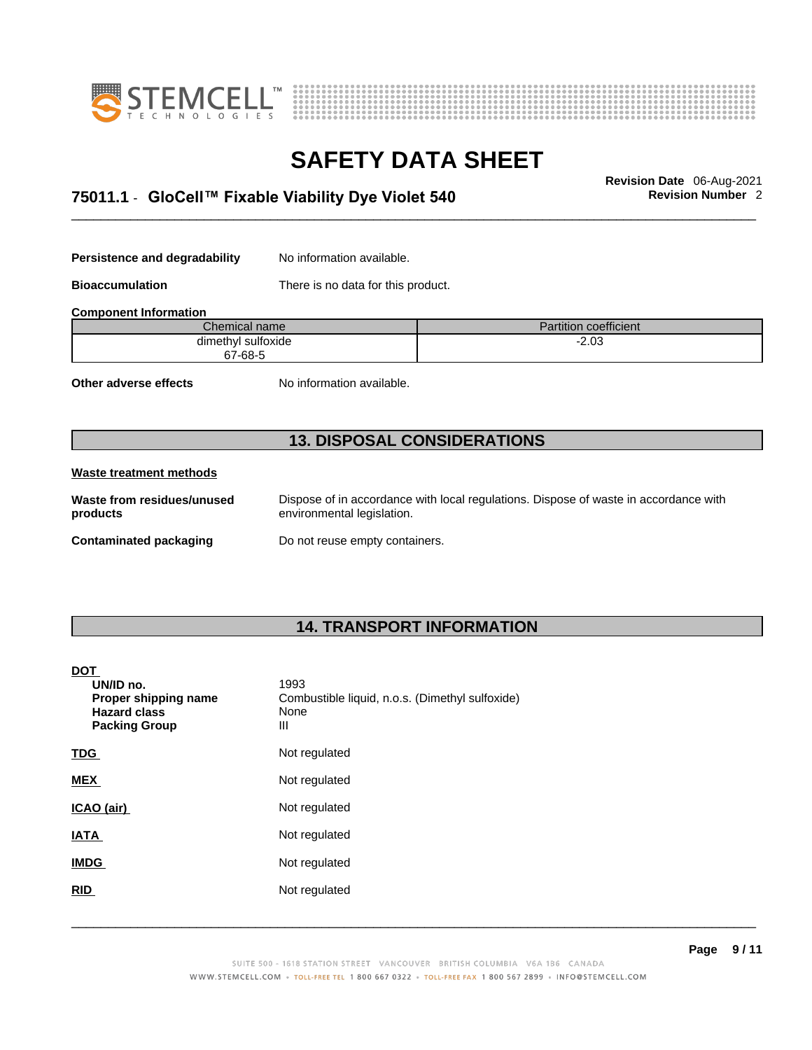



# \_\_\_\_\_\_\_\_\_\_\_\_\_\_\_\_\_\_\_\_\_\_\_\_\_\_\_\_\_\_\_\_\_\_\_\_\_\_\_\_\_\_\_\_\_\_\_\_\_\_\_\_\_\_\_\_\_\_\_\_\_\_\_\_\_\_\_\_\_\_\_\_\_\_\_\_\_\_\_\_\_\_\_\_\_\_\_\_\_\_\_\_\_ **Revision Date** 06-Aug-2021 **75011.1** - **GloCell™ Fixable Viability Dye Violet 540 Revision Number** 2

**Persistence and degradability** No information available.

**Bioaccumulation** There is no data for this product.

**Component Information**

| Chemical name           | $\cdots$<br>1.1.1<br>Partition coefficient |
|-------------------------|--------------------------------------------|
| ' sulfoxide<br>dimethvl | _ מ∩ כ<br>۰z.uə<br>__                      |
| 67-68-5                 |                                            |

**Other adverse effects** No information available.

## **13. DISPOSAL CONSIDERATIONS**

### **Waste treatment methods**

**Waste from residues/unused products** 

Dispose of in accordance with local regulations. Dispose of waste in accordance with environmental legislation.

**Contaminated packaging** Do not reuse empty containers.

## **14. TRANSPORT INFORMATION**

### **DOT**

| UN/ID no.<br>Proper shipping name<br><b>Hazard class</b><br><b>Packing Group</b> | 1993<br>Combustible liquid, n.o.s. (Dimethyl sulfoxide)<br>None<br>Ш |
|----------------------------------------------------------------------------------|----------------------------------------------------------------------|
| <b>TDG</b>                                                                       | Not regulated                                                        |
| <b>MEX</b>                                                                       | Not regulated                                                        |
| ICAO (air)                                                                       | Not regulated                                                        |
| <b>IATA</b>                                                                      | Not regulated                                                        |
| <b>IMDG</b>                                                                      | Not regulated                                                        |
| <b>RID</b>                                                                       | Not regulated                                                        |
|                                                                                  |                                                                      |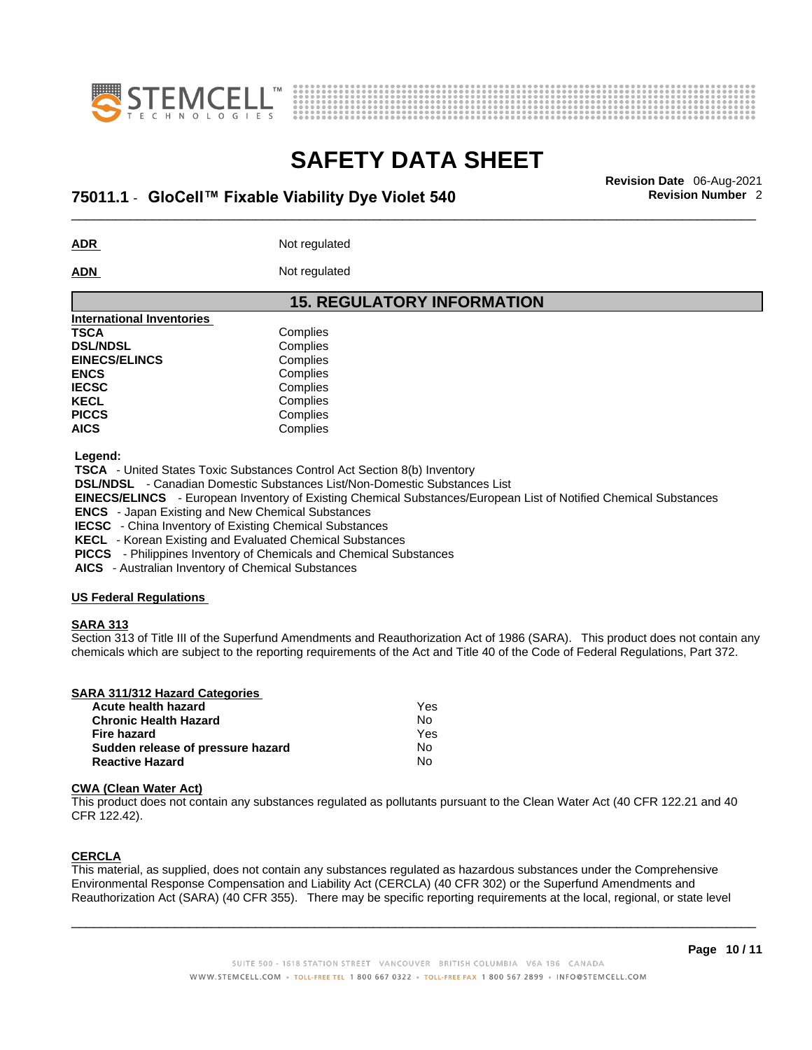



# \_\_\_\_\_\_\_\_\_\_\_\_\_\_\_\_\_\_\_\_\_\_\_\_\_\_\_\_\_\_\_\_\_\_\_\_\_\_\_\_\_\_\_\_\_\_\_\_\_\_\_\_\_\_\_\_\_\_\_\_\_\_\_\_\_\_\_\_\_\_\_\_\_\_\_\_\_\_\_\_\_\_\_\_\_\_\_\_\_\_\_\_\_ **Revision Date** 06-Aug-2021 **75011.1** - **GloCell™ Fixable Viability Dye Violet 540 Revision Number** 2

**ADR** Not regulated

**ADN** Not regulated

### **15. REGULATORY INFORMATION International Inventories TSCA** Complies **DSL/NDSL** Complies **EINECS/ELINCS** Complies **ENCS** Complies **IECSC** Complies KECL Complies PICCS Complies **AICS** Complies

 **Legend:** 

 **TSCA** - United States Toxic Substances Control Act Section 8(b) Inventory

 **DSL/NDSL** - Canadian Domestic Substances List/Non-Domestic Substances List

 **EINECS/ELINCS** - European Inventory of Existing Chemical Substances/European List of Notified Chemical Substances

 **ENCS** - Japan Existing and New Chemical Substances

 **IECSC** - China Inventory of Existing Chemical Substances

 **KECL** - Korean Existing and Evaluated Chemical Substances

 **PICCS** - Philippines Inventory of Chemicals and Chemical Substances

 **AICS** - Australian Inventory of Chemical Substances

### **US Federal Regulations**

### **SARA 313**

Section 313 of Title III of the Superfund Amendments and Reauthorization Act of 1986 (SARA). This product does not contain any chemicals which are subject to the reporting requirements of the Act and Title 40 of the Code of Federal Regulations, Part 372.

| SARA 311/312 Hazard Categories    |     |  |
|-----------------------------------|-----|--|
| Acute health hazard               | Yes |  |
| <b>Chronic Health Hazard</b>      | No  |  |
| Fire hazard                       | Yes |  |
| Sudden release of pressure hazard | No  |  |
| <b>Reactive Hazard</b>            | No  |  |

### **CWA** (Clean Water Act)

This product does not contain any substances regulated as pollutants pursuant to the Clean Water Act (40 CFR 122.21 and 40 CFR 122.42).

### **CERCLA**

This material, as supplied, does not contain any substances regulated as hazardous substances under the Comprehensive Environmental Response Compensation and Liability Act (CERCLA) (40 CFR 302) or the Superfund Amendments and Reauthorization Act (SARA) (40 CFR 355). There may be specific reporting requirements at the local, regional, or state level